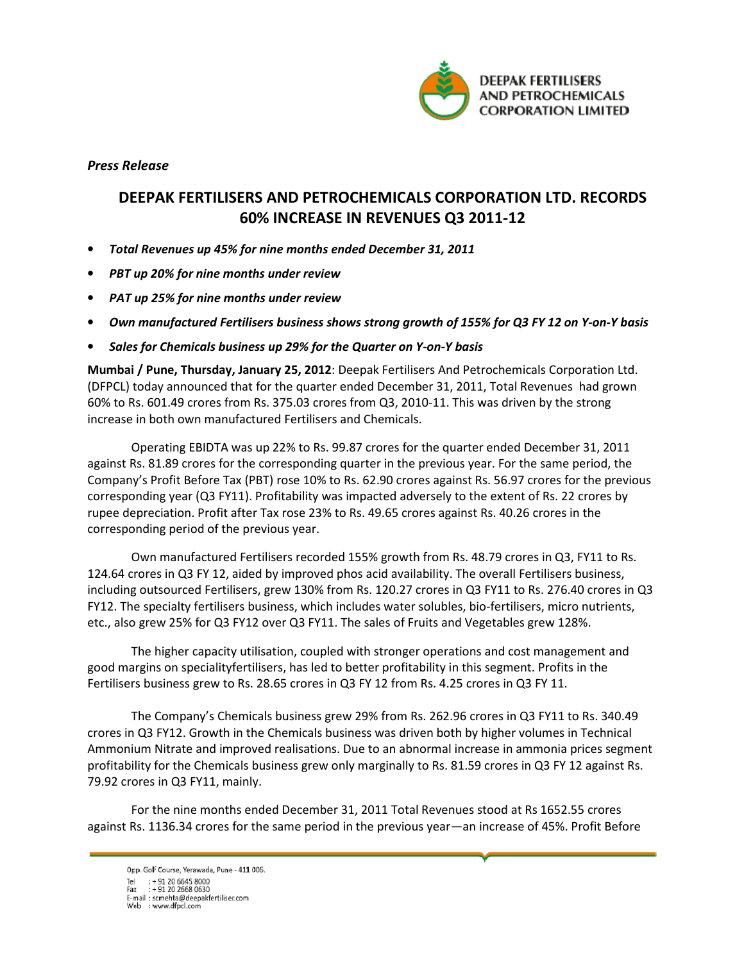

Press Release

## DEEPAK FERTILISERS AND PETROCHEMICALS CORPORATION LTD. RECORDS 60% INCREASE IN REVENUES Q3 2011-12

- Total Revenues up 45% for nine months ended December 31, 2011
- PBT up 20% for nine months under review
- PAT up 25% for nine months under review
- Own manufactured Fertilisers business shows strong growth of 155% for Q3 FY 12 on Y-on-Y basis
- Sales for Chemicals business up 29% for the Quarter on Y-on-Y basis

Mumbai / Pune, Thursday, January 25, 2012: Deepak Fertilisers And Petrochemicals Corporation Ltd. (DFPCL) today announced that for the quarter ended December 31, 2011, Total Revenues had grown 60% to Rs. 601.49 crores from Rs. 375.03 crores from Q3, 2010-11. This was driven by the strong increase in both own manufactured Fertilisers and Chemicals.

Operating EBIDTA was up 22% to Rs. 99.87 crores for the quarter ended December 31, 2011 against Rs. 81.89 crores for the corresponding quarter in the previous year. For the same period, the Company's Profit Before Tax (PBT) rose 10% to Rs. 62.90 crores against Rs. 56.97 crores for the previous corresponding year (Q3 FY11). Profitability was impacted adversely to the extent of Rs. 22 crores by rupee depreciation. Profit after Tax rose 23% to Rs. 49.65 crores against Rs. 40.26 crores in the corresponding period of the previous year.

Own manufactured Fertilisers recorded 155% growth from Rs. 48.79 crores in Q3, FY11 to Rs. 124.64 crores in Q3 FY 12, aided by improved phos acid availability. The overall Fertilisers business, including outsourced Fertilisers, grew 130% from Rs. 120.27 crores in Q3 FY11 to Rs. 276.40 crores in Q3 FY12. The specialty fertilisers business, which includes water solubles, bio-fertilisers, micro nutrients, etc., also grew 25% for Q3 FY12 over Q3 FY11. The sales of Fruits and Vegetables grew 128%.

The higher capacity utilisation, coupled with stronger operations and cost management and good margins on specialityfertilisers, has led to better profitability in this segment. Profits in the Fertilisers business grew to Rs. 28.65 crores in Q3 FY 12 from Rs. 4.25 crores in Q3 FY 11.

The Company's Chemicals business grew 29% from Rs. 262.96 crores in Q3 FY11 to Rs. 340.49 crores in Q3 FY12. Growth in the Chemicals business was driven both by higher volumes in Technical Ammonium Nitrate and improved realisations. Due to an abnormal increase in ammonia prices segment profitability for the Chemicals business grew only marginally to Rs. 81.59 crores in Q3 FY 12 against Rs. 79.92 crores in Q3 FY11, mainly.

For the nine months ended December 31, 2011 Total Revenues stood at Rs 1652.55 crores against Rs. 1136.34 crores for the same period in the previous year—an increase of 45%. Profit Before

Opp. Golf Course, Yerawada, Pune - 411 006. Tel: +91 20 6645 8000<br>Fax: +91 20 2668 0630 E-mail: scmehta@deepakfertiliser.com<br>Web : www.dfpcl.com